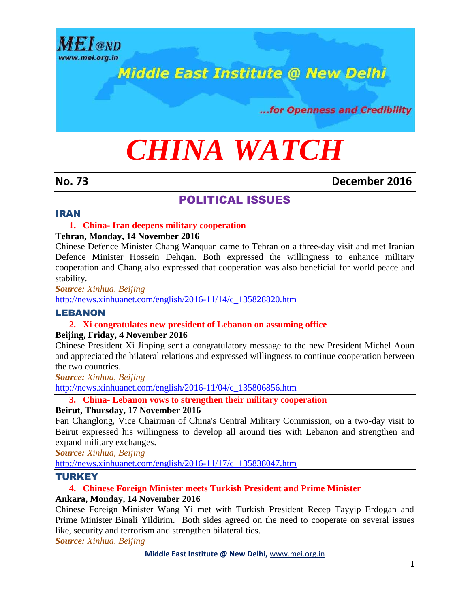

# **Middle East Institute @ New Delhi**

...for Openness and Credibility

# *CHINA WATCH*

# **No. 73 December 2016**

# POLITICAL ISSUES

# IRAN

#### **1. China- Iran deepens military cooperation**

#### **Tehran, Monday, 14 November 2016**

Chinese Defence Minister Chang Wanquan came to Tehran on a three-day visit and met Iranian Defence Minister Hossein Dehqan. Both expressed the willingness to enhance military cooperation and Chang also expressed that cooperation was also beneficial for world peace and stability.

*Source: Xinhua, Beijing*

[http://news.xinhuanet.com/english/2016-11/14/c\\_135828820.htm](http://news.xinhuanet.com/english/2016-11/14/c_135828820.htm)

# LEBANON

# **2. Xi congratulates new president of Lebanon on assuming office**

# **Beijing, Friday, 4 November 2016**

Chinese President Xi Jinping sent a congratulatory message to the new President Michel Aoun and appreciated the bilateral relations and expressed willingness to continue cooperation between the two countries.

*Source: Xinhua, Beijing*

[http://news.xinhuanet.com/english/2016-11/04/c\\_135806856.htm](http://news.xinhuanet.com/english/2016-11/04/c_135806856.htm)

# **3. China- Lebanon vows to strengthen their military cooperation**

#### **Beirut, Thursday, 17 November 2016**

Fan Changlong, Vice Chairman of China's Central Military Commission, on a two-day visit to Beirut expressed his willingness to develop all around ties with Lebanon and strengthen and expand military exchanges.

*Source: Xinhua, Beijing*

[http://news.xinhuanet.com/english/2016-11/17/c\\_135838047.htm](http://news.xinhuanet.com/english/2016-11/17/c_135838047.htm)

# **TURKEY**

# **4. Chinese Foreign Minister meets Turkish President and Prime Minister**

# **Ankara, Monday, 14 November 2016**

Chinese Foreign Minister Wang Yi met with Turkish President Recep Tayyip Erdogan and Prime Minister Binali Yildirim. Both sides agreed on the need to cooperate on several issues like, security and terrorism and strengthen bilateral ties.

*Source: Xinhua, Beijing*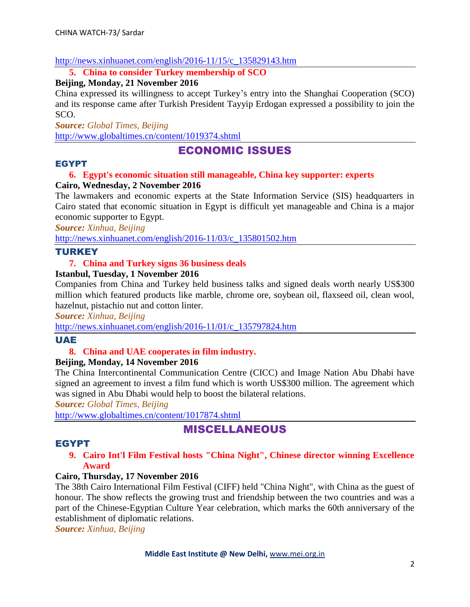### [http://news.xinhuanet.com/english/2016-11/15/c\\_135829143.htm](http://news.xinhuanet.com/english/2016-11/15/c_135829143.htm)

**5. China to consider Turkey membership of SCO**

# **Beijing, Monday, 21 November 2016**

China expressed its willingness to accept Turkey's entry into the Shanghai Cooperation (SCO) and its response came after Turkish President Tayyip Erdogan expressed a possibility to join the SCO.

*Source: Global Times, Beijing*

<http://www.globaltimes.cn/content/1019374.shtml>

# ECONOMIC ISSUES

#### EGYPT

# **6. Egypt's economic situation still manageable, China key supporter: experts**

# **Cairo, Wednesday, 2 November 2016**

The lawmakers and economic experts at the State Information Service (SIS) headquarters in Cairo stated that economic situation in Egypt is difficult yet manageable and China is a major economic supporter to Egypt.

*Source: Xinhua, Beijing*

[http://news.xinhuanet.com/english/2016-11/03/c\\_135801502.htm](http://news.xinhuanet.com/english/2016-11/03/c_135801502.htm)

# TURKEY

# **7. China and Turkey signs 36 business deals**

# **Istanbul, Tuesday, 1 November 2016**

Companies from China and Turkey held business talks and signed deals worth nearly US\$300 million which featured products like marble, chrome ore, soybean oil, flaxseed oil, clean wool, hazelnut, pistachio nut and cotton linter.

*Source: Xinhua, Beijing*

[http://news.xinhuanet.com/english/2016-11/01/c\\_135797824.htm](http://news.xinhuanet.com/english/2016-11/01/c_135797824.htm)

# UAE

# **8. China and UAE cooperates in film industry.**

# **Beijing, Monday, 14 November 2016**

The China Intercontinental Communication Centre (CICC) and Image Nation Abu Dhabi have signed an agreement to invest a film fund which is worth US\$300 million. The agreement which was signed in Abu Dhabi would help to boost the bilateral relations.

*Source: Global Times, Beijing*

<http://www.globaltimes.cn/content/1017874.shtml>

# MISCELLANEOUS

# EGYPT

#### **9. Cairo Int'l Film Festival hosts "China Night", Chinese director winning Excellence Award**

# **Cairo, Thursday, 17 November 2016**

The 38th Cairo International Film Festival (CIFF) held "China Night", with China as the guest of honour. The show reflects the growing trust and friendship between the two countries and was a part of the Chinese-Egyptian Culture Year celebration, which marks the 60th anniversary of the establishment of diplomatic relations.

*Source: Xinhua, Beijing*